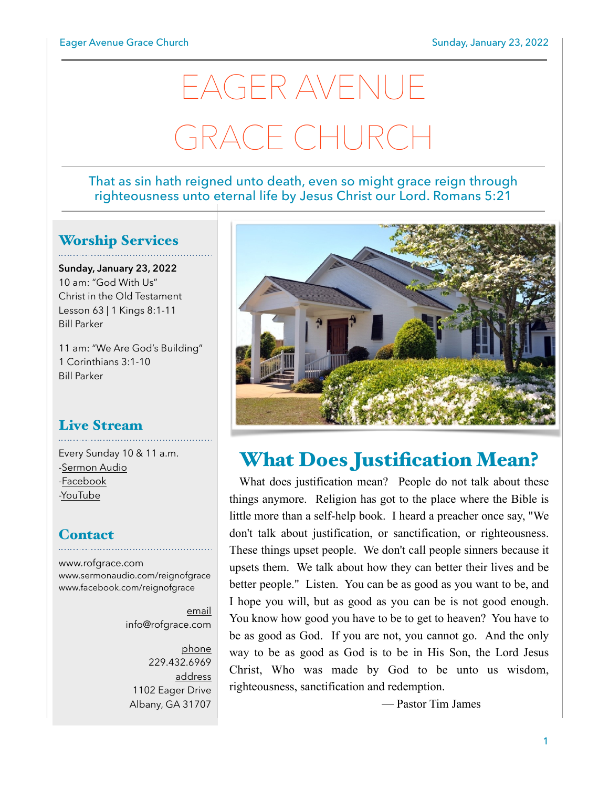# EAGER AVENUE GRACE CHURCH

#### That as sin hath reigned unto death, even so might grace reign through righteousness unto eternal life by Jesus Christ our Lord. Romans 5:21

## Worship Services

**Sunday, January 23, 2022** 10 am: "God With Us" Christ in the Old Testament Lesson 63 | 1 Kings 8:1-11 Bill Parker

11 am: "We Are God's Building" 1 Corinthians 3:1-10 Bill Parker

# Live Stream

Every Sunday 10 & 11 a.m. [-Sermon Audio](http://sermonaudio.com/reignofgrace) [-Facebook](http://facebook.com/eageravechurch) [-YouTube](http://youtube.com/channel/UCu_lTHCIUOK0cka9AjFV_5Q/live)

## **Contact**

[www.rofgrace.com](http://www.rofgrace.com) [www.sermonaudio.com/reignofgrace](http://www.sermonaudio.com/reignofgrace) [www.facebook.com/reignofgrace](http://www.facebook.com/reignofgrace)

> email [info@rofgrace.com](mailto:info@rofgrace.com?subject=)

phone 229.432.6969 address 1102 Eager Drive Albany, GA 31707



# What Does Justification Mean?

 What does justification mean? People do not talk about these things anymore. Religion has got to the place where the Bible is little more than a self-help book. I heard a preacher once say, "We don't talk about justification, or sanctification, or righteousness. These things upset people. We don't call people sinners because it upsets them. We talk about how they can better their lives and be better people." Listen. You can be as good as you want to be, and I hope you will, but as good as you can be is not good enough. You know how good you have to be to get to heaven? You have to be as good as God. If you are not, you cannot go. And the only way to be as good as God is to be in His Son, the Lord Jesus Christ, Who was made by God to be unto us wisdom, righteousness, sanctification and redemption.

— Pastor Tim James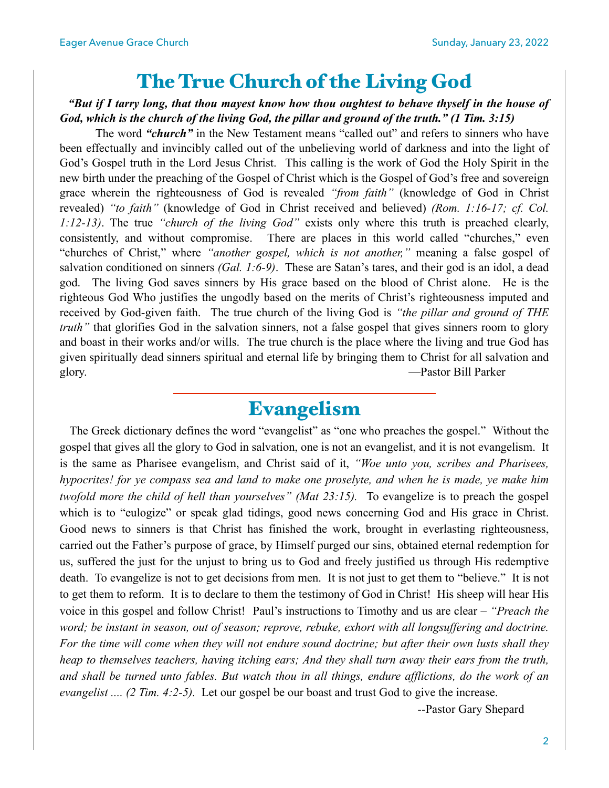## The True Church of the Living God

#### *"But if I tarry long, that thou mayest know how thou oughtest to behave thyself in the house of God, which is the church of the living God, the pillar and ground of the truth." (1 Tim. 3:15)*

 The word *"church"* in the New Testament means "called out" and refers to sinners who have been effectually and invincibly called out of the unbelieving world of darkness and into the light of God's Gospel truth in the Lord Jesus Christ. This calling is the work of God the Holy Spirit in the new birth under the preaching of the Gospel of Christ which is the Gospel of God's free and sovereign grace wherein the righteousness of God is revealed *"from faith"* (knowledge of God in Christ revealed) *"to faith"* (knowledge of God in Christ received and believed) *(Rom. 1:16-17; cf. Col. 1:12-13)*. The true *"church of the living God"* exists only where this truth is preached clearly, consistently, and without compromise. There are places in this world called "churches," even "churches of Christ," where *"another gospel, which is not another,"* meaning a false gospel of salvation conditioned on sinners *(Gal. 1:6-9)*. These are Satan's tares, and their god is an idol, a dead god. The living God saves sinners by His grace based on the blood of Christ alone. He is the righteous God Who justifies the ungodly based on the merits of Christ's righteousness imputed and received by God-given faith. The true church of the living God is *"the pillar and ground of THE truth*" that glorifies God in the salvation sinners, not a false gospel that gives sinners room to glory and boast in their works and/or wills. The true church is the place where the living and true God has given spiritually dead sinners spiritual and eternal life by bringing them to Christ for all salvation and glory. —Pastor Bill Parker

## Evangelism

 The Greek dictionary defines the word "evangelist" as "one who preaches the gospel." Without the gospel that gives all the glory to God in salvation, one is not an evangelist, and it is not evangelism. It is the same as Pharisee evangelism, and Christ said of it, *"Woe unto you, scribes and Pharisees, hypocrites! for ye compass sea and land to make one proselyte, and when he is made, ye make him twofold more the child of hell than yourselves" (Mat 23:15).* To evangelize is to preach the gospel which is to "eulogize" or speak glad tidings, good news concerning God and His grace in Christ. Good news to sinners is that Christ has finished the work, brought in everlasting righteousness, carried out the Father's purpose of grace, by Himself purged our sins, obtained eternal redemption for us, suffered the just for the unjust to bring us to God and freely justified us through His redemptive death. To evangelize is not to get decisions from men. It is not just to get them to "believe." It is not to get them to reform. It is to declare to them the testimony of God in Christ! His sheep will hear His voice in this gospel and follow Christ! Paul's instructions to Timothy and us are clear – *"Preach the word; be instant in season, out of season; reprove, rebuke, exhort with all longsuffering and doctrine. For the time will come when they will not endure sound doctrine; but after their own lusts shall they heap to themselves teachers, having itching ears; And they shall turn away their ears from the truth, and shall be turned unto fables. But watch thou in all things, endure afflictions, do the work of an evangelist .... (2 Tim. 4:2-5).* Let our gospel be our boast and trust God to give the increase.

--Pastor Gary Shepard